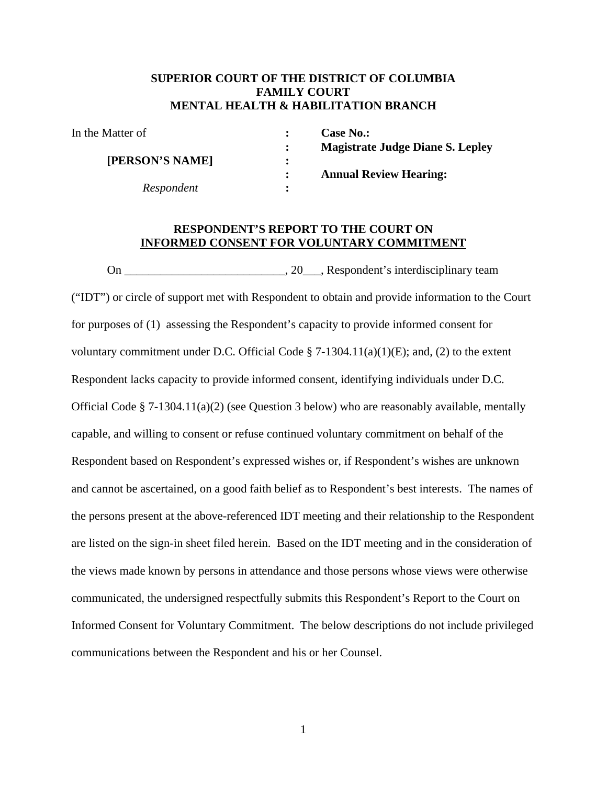#### **SUPERIOR COURT OF THE DISTRICT OF COLUMBIA FAMILY COURT MENTAL HEALTH & HABILITATION BRANCH**

In the Matter of **: Case No.:** 

 **[PERSON'S NAME] :** 

*Respondent* **:** 

 **: Magistrate Judge Diane S. Lepley : Annual Review Hearing:** 

#### **RESPONDENT'S REPORT TO THE COURT ON INFORMED CONSENT FOR VOLUNTARY COMMITMENT**

 On \_\_\_\_\_\_\_\_\_\_\_\_\_\_\_\_\_\_\_\_\_\_\_\_\_\_\_, 20\_\_\_, Respondent's interdisciplinary team ("IDT") or circle of support met with Respondent to obtain and provide information to the Court for purposes of (1) assessing the Respondent's capacity to provide informed consent for voluntary commitment under D.C. Official Code § 7-1304.11(a)(1)(E); and, (2) to the extent Respondent lacks capacity to provide informed consent, identifying individuals under D.C. Official Code § 7-1304.11(a)(2) (see Question 3 below) who are reasonably available, mentally capable, and willing to consent or refuse continued voluntary commitment on behalf of the Respondent based on Respondent's expressed wishes or, if Respondent's wishes are unknown and cannot be ascertained, on a good faith belief as to Respondent's best interests. The names of the persons present at the above-referenced IDT meeting and their relationship to the Respondent are listed on the sign-in sheet filed herein. Based on the IDT meeting and in the consideration of the views made known by persons in attendance and those persons whose views were otherwise communicated, the undersigned respectfully submits this Respondent's Report to the Court on Informed Consent for Voluntary Commitment. The below descriptions do not include privileged communications between the Respondent and his or her Counsel.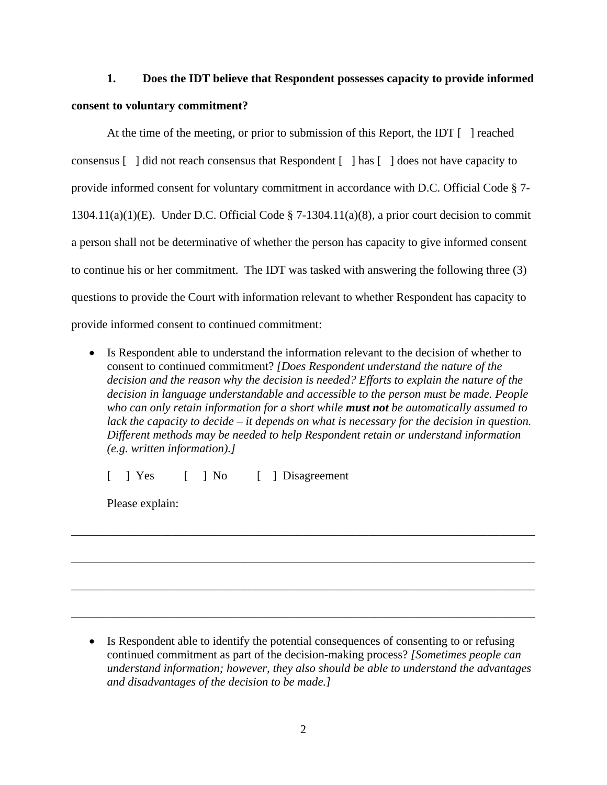# **1. Does the IDT believe that Respondent possesses capacity to provide informed consent to voluntary commitment?**

At the time of the meeting, or prior to submission of this Report, the IDT [ ] reached consensus [ ] did not reach consensus that Respondent [ ] has [ ] does not have capacity to provide informed consent for voluntary commitment in accordance with D.C. Official Code § 7- 1304.11(a)(1)(E). Under D.C. Official Code § 7-1304.11(a)(8), a prior court decision to commit a person shall not be determinative of whether the person has capacity to give informed consent to continue his or her commitment. The IDT was tasked with answering the following three (3) questions to provide the Court with information relevant to whether Respondent has capacity to provide informed consent to continued commitment:

• Is Respondent able to understand the information relevant to the decision of whether to consent to continued commitment? *[Does Respondent understand the nature of the decision and the reason why the decision is needed? Efforts to explain the nature of the decision in language understandable and accessible to the person must be made. People who can only retain information for a short while must not be automatically assumed to lack the capacity to decide – it depends on what is necessary for the decision in question. Different methods may be needed to help Respondent retain or understand information (e.g. written information).]*

\_\_\_\_\_\_\_\_\_\_\_\_\_\_\_\_\_\_\_\_\_\_\_\_\_\_\_\_\_\_\_\_\_\_\_\_\_\_\_\_\_\_\_\_\_\_\_\_\_\_\_\_\_\_\_\_\_\_\_\_\_\_\_\_\_\_\_\_\_\_\_\_\_\_\_\_\_\_

\_\_\_\_\_\_\_\_\_\_\_\_\_\_\_\_\_\_\_\_\_\_\_\_\_\_\_\_\_\_\_\_\_\_\_\_\_\_\_\_\_\_\_\_\_\_\_\_\_\_\_\_\_\_\_\_\_\_\_\_\_\_\_\_\_\_\_\_\_\_\_\_\_\_\_\_\_\_

\_\_\_\_\_\_\_\_\_\_\_\_\_\_\_\_\_\_\_\_\_\_\_\_\_\_\_\_\_\_\_\_\_\_\_\_\_\_\_\_\_\_\_\_\_\_\_\_\_\_\_\_\_\_\_\_\_\_\_\_\_\_\_\_\_\_\_\_\_\_\_\_\_\_\_\_\_\_

\_\_\_\_\_\_\_\_\_\_\_\_\_\_\_\_\_\_\_\_\_\_\_\_\_\_\_\_\_\_\_\_\_\_\_\_\_\_\_\_\_\_\_\_\_\_\_\_\_\_\_\_\_\_\_\_\_\_\_\_\_\_\_\_\_\_\_\_\_\_\_\_\_\_\_\_\_\_

[ ] Yes [ ] No [ ] Disagreement

Please explain:

• Is Respondent able to identify the potential consequences of consenting to or refusing continued commitment as part of the decision-making process? *[Sometimes people can understand information; however, they also should be able to understand the advantages and disadvantages of the decision to be made.]*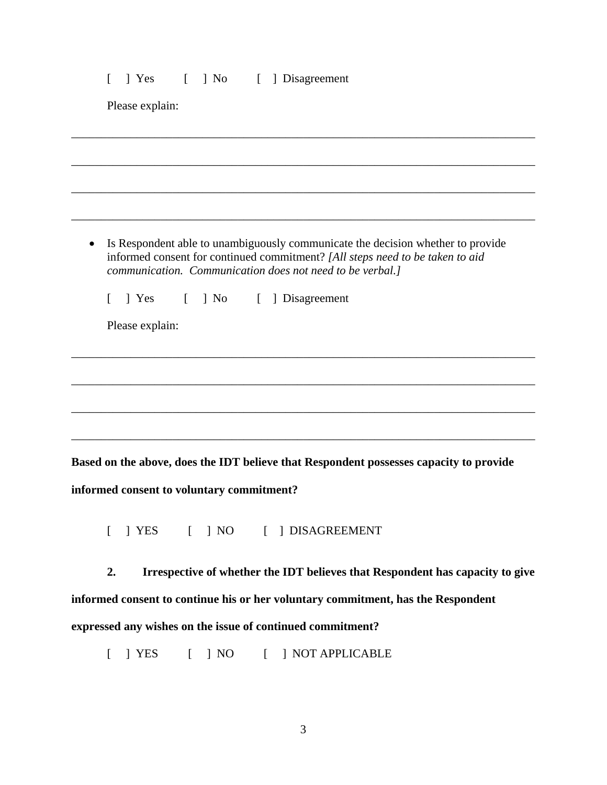#### [ ] Yes [ ] No [ ] Disagreement

Please explain:

 Is Respondent able to unambiguously communicate the decision whether to provide informed consent for continued commitment? *[All steps need to be taken to aid communication. Communication does not need to be verbal.]* 

\_\_\_\_\_\_\_\_\_\_\_\_\_\_\_\_\_\_\_\_\_\_\_\_\_\_\_\_\_\_\_\_\_\_\_\_\_\_\_\_\_\_\_\_\_\_\_\_\_\_\_\_\_\_\_\_\_\_\_\_\_\_\_\_\_\_\_\_\_\_\_\_\_\_\_\_\_\_

\_\_\_\_\_\_\_\_\_\_\_\_\_\_\_\_\_\_\_\_\_\_\_\_\_\_\_\_\_\_\_\_\_\_\_\_\_\_\_\_\_\_\_\_\_\_\_\_\_\_\_\_\_\_\_\_\_\_\_\_\_\_\_\_\_\_\_\_\_\_\_\_\_\_\_\_\_\_

\_\_\_\_\_\_\_\_\_\_\_\_\_\_\_\_\_\_\_\_\_\_\_\_\_\_\_\_\_\_\_\_\_\_\_\_\_\_\_\_\_\_\_\_\_\_\_\_\_\_\_\_\_\_\_\_\_\_\_\_\_\_\_\_\_\_\_\_\_\_\_\_\_\_\_\_\_\_

\_\_\_\_\_\_\_\_\_\_\_\_\_\_\_\_\_\_\_\_\_\_\_\_\_\_\_\_\_\_\_\_\_\_\_\_\_\_\_\_\_\_\_\_\_\_\_\_\_\_\_\_\_\_\_\_\_\_\_\_\_\_\_\_\_\_\_\_\_\_\_\_\_\_\_\_\_\_

\_\_\_\_\_\_\_\_\_\_\_\_\_\_\_\_\_\_\_\_\_\_\_\_\_\_\_\_\_\_\_\_\_\_\_\_\_\_\_\_\_\_\_\_\_\_\_\_\_\_\_\_\_\_\_\_\_\_\_\_\_\_\_\_\_\_\_\_\_\_\_\_\_\_\_\_\_\_

\_\_\_\_\_\_\_\_\_\_\_\_\_\_\_\_\_\_\_\_\_\_\_\_\_\_\_\_\_\_\_\_\_\_\_\_\_\_\_\_\_\_\_\_\_\_\_\_\_\_\_\_\_\_\_\_\_\_\_\_\_\_\_\_\_\_\_\_\_\_\_\_\_\_\_\_\_\_

\_\_\_\_\_\_\_\_\_\_\_\_\_\_\_\_\_\_\_\_\_\_\_\_\_\_\_\_\_\_\_\_\_\_\_\_\_\_\_\_\_\_\_\_\_\_\_\_\_\_\_\_\_\_\_\_\_\_\_\_\_\_\_\_\_\_\_\_\_\_\_\_\_\_\_\_\_\_

\_\_\_\_\_\_\_\_\_\_\_\_\_\_\_\_\_\_\_\_\_\_\_\_\_\_\_\_\_\_\_\_\_\_\_\_\_\_\_\_\_\_\_\_\_\_\_\_\_\_\_\_\_\_\_\_\_\_\_\_\_\_\_\_\_\_\_\_\_\_\_\_\_\_\_\_\_\_

[ ] Yes [ ] No [ ] Disagreement

Please explain:

**Based on the above, does the IDT believe that Respondent possesses capacity to provide informed consent to voluntary commitment?** 

[ ] YES [ ] NO [ ] DISAGREEMENT

**2. Irrespective of whether the IDT believes that Respondent has capacity to give informed consent to continue his or her voluntary commitment, has the Respondent expressed any wishes on the issue of continued commitment?** 

[ ] YES [ ] NO [ ] NOT APPLICABLE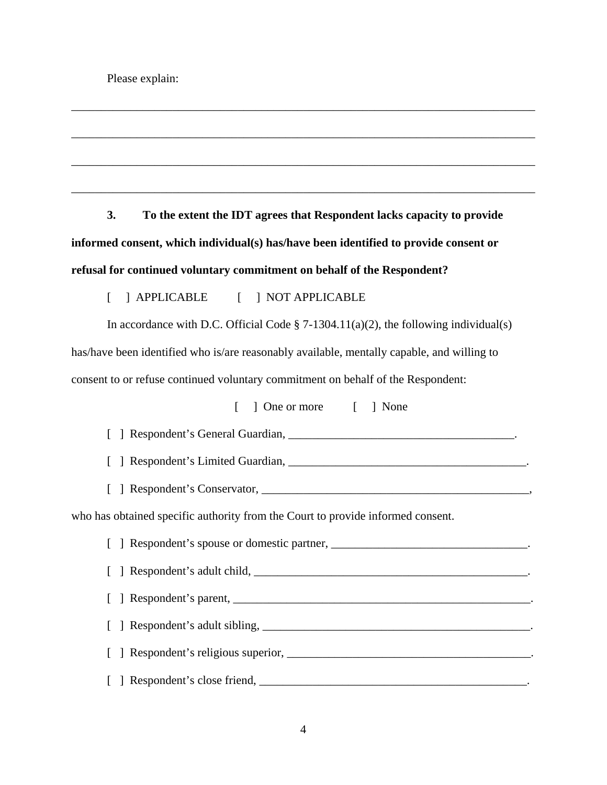**3. To the extent the IDT agrees that Respondent lacks capacity to provide informed consent, which individual(s) has/have been identified to provide consent or refusal for continued voluntary commitment on behalf of the Respondent?** 

\_\_\_\_\_\_\_\_\_\_\_\_\_\_\_\_\_\_\_\_\_\_\_\_\_\_\_\_\_\_\_\_\_\_\_\_\_\_\_\_\_\_\_\_\_\_\_\_\_\_\_\_\_\_\_\_\_\_\_\_\_\_\_\_\_\_\_\_\_\_\_\_\_\_\_\_\_\_

\_\_\_\_\_\_\_\_\_\_\_\_\_\_\_\_\_\_\_\_\_\_\_\_\_\_\_\_\_\_\_\_\_\_\_\_\_\_\_\_\_\_\_\_\_\_\_\_\_\_\_\_\_\_\_\_\_\_\_\_\_\_\_\_\_\_\_\_\_\_\_\_\_\_\_\_\_\_

\_\_\_\_\_\_\_\_\_\_\_\_\_\_\_\_\_\_\_\_\_\_\_\_\_\_\_\_\_\_\_\_\_\_\_\_\_\_\_\_\_\_\_\_\_\_\_\_\_\_\_\_\_\_\_\_\_\_\_\_\_\_\_\_\_\_\_\_\_\_\_\_\_\_\_\_\_\_

\_\_\_\_\_\_\_\_\_\_\_\_\_\_\_\_\_\_\_\_\_\_\_\_\_\_\_\_\_\_\_\_\_\_\_\_\_\_\_\_\_\_\_\_\_\_\_\_\_\_\_\_\_\_\_\_\_\_\_\_\_\_\_\_\_\_\_\_\_\_\_\_\_\_\_\_\_\_

### [ ] APPLICABLE [ ] NOT APPLICABLE

In accordance with D.C. Official Code  $\S$  7-1304.11(a)(2), the following individual(s) has/have been identified who is/are reasonably available, mentally capable, and willing to consent to or refuse continued voluntary commitment on behalf of the Respondent:

[ ] One or more [ ] None

[ ] Respondent's General Guardian, \_\_\_\_\_\_\_\_\_\_\_\_\_\_\_\_\_\_\_\_\_\_\_\_\_\_\_\_\_\_\_\_\_\_\_\_\_\_.

[ ] Respondent's Limited Guardian, \_\_\_\_\_\_\_\_\_\_\_\_\_\_\_\_\_\_\_\_\_\_\_\_\_\_\_\_\_\_\_\_\_\_\_\_\_\_\_\_.

[ ] Respondent's Conservator, \_\_\_\_\_\_\_\_\_\_\_\_\_\_\_\_\_\_\_\_\_\_\_\_\_\_\_\_\_\_\_\_\_\_\_\_\_\_\_\_\_\_\_\_\_,

who has obtained specific authority from the Court to provide informed consent.

[ ] Respondent's spouse or domestic partner, \_\_\_\_\_\_\_\_\_\_\_\_\_\_\_\_\_\_\_\_\_\_\_\_\_\_\_\_\_\_\_\_\_. [ ] Respondent's adult child, \_\_\_\_\_\_\_\_\_\_\_\_\_\_\_\_\_\_\_\_\_\_\_\_\_\_\_\_\_\_\_\_\_\_\_\_\_\_\_\_\_\_\_\_\_\_. [ ] Respondent's parent, [ ] Respondent's adult sibling, \_\_\_\_\_\_\_\_\_\_\_\_\_\_\_\_\_\_\_\_\_\_\_\_\_\_\_\_\_\_\_\_\_\_\_\_\_\_\_\_\_\_\_\_\_. [ ] Respondent's religious superior, \_\_\_\_\_\_\_\_\_\_\_\_\_\_\_\_\_\_\_\_\_\_\_\_\_\_\_\_\_\_\_\_\_\_\_\_\_\_\_\_\_. [ ] Respondent's close friend, \_\_\_\_\_\_\_\_\_\_\_\_\_\_\_\_\_\_\_\_\_\_\_\_\_\_\_\_\_\_\_\_\_\_\_\_\_\_\_\_\_\_\_\_\_.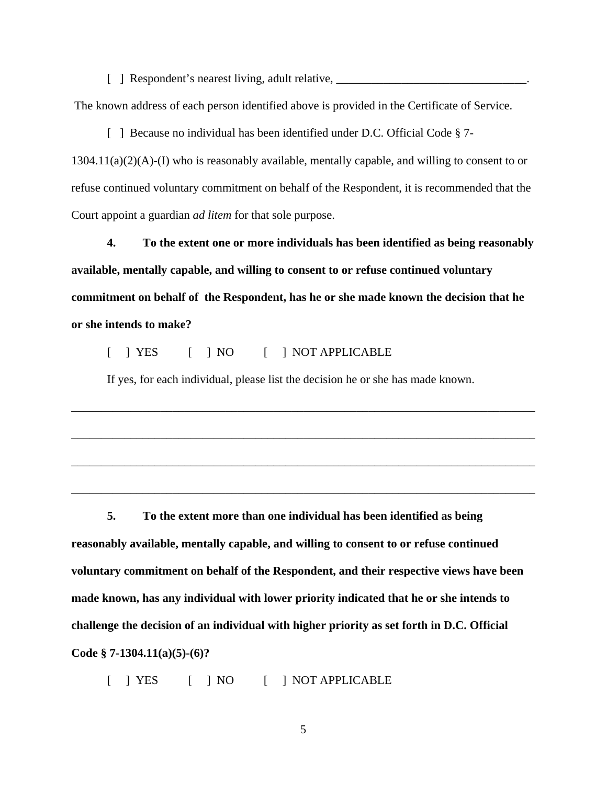$\lceil \quad \rceil$  Respondent's nearest living, adult relative,  $\lceil \quad \rceil$ 

The known address of each person identified above is provided in the Certificate of Service.

[ ] Because no individual has been identified under D.C. Official Code § 7-1304.11(a)(2)(A)-(I) who is reasonably available, mentally capable, and willing to consent to or refuse continued voluntary commitment on behalf of the Respondent, it is recommended that the Court appoint a guardian *ad litem* for that sole purpose.

**4. To the extent one or more individuals has been identified as being reasonably available, mentally capable, and willing to consent to or refuse continued voluntary commitment on behalf of the Respondent, has he or she made known the decision that he or she intends to make?** 

[ ] YES [ ] NO [ ] NOT APPLICABLE

If yes, for each individual, please list the decision he or she has made known.

\_\_\_\_\_\_\_\_\_\_\_\_\_\_\_\_\_\_\_\_\_\_\_\_\_\_\_\_\_\_\_\_\_\_\_\_\_\_\_\_\_\_\_\_\_\_\_\_\_\_\_\_\_\_\_\_\_\_\_\_\_\_\_\_\_\_\_\_\_\_\_\_\_\_\_\_\_\_

\_\_\_\_\_\_\_\_\_\_\_\_\_\_\_\_\_\_\_\_\_\_\_\_\_\_\_\_\_\_\_\_\_\_\_\_\_\_\_\_\_\_\_\_\_\_\_\_\_\_\_\_\_\_\_\_\_\_\_\_\_\_\_\_\_\_\_\_\_\_\_\_\_\_\_\_\_\_

\_\_\_\_\_\_\_\_\_\_\_\_\_\_\_\_\_\_\_\_\_\_\_\_\_\_\_\_\_\_\_\_\_\_\_\_\_\_\_\_\_\_\_\_\_\_\_\_\_\_\_\_\_\_\_\_\_\_\_\_\_\_\_\_\_\_\_\_\_\_\_\_\_\_\_\_\_\_

\_\_\_\_\_\_\_\_\_\_\_\_\_\_\_\_\_\_\_\_\_\_\_\_\_\_\_\_\_\_\_\_\_\_\_\_\_\_\_\_\_\_\_\_\_\_\_\_\_\_\_\_\_\_\_\_\_\_\_\_\_\_\_\_\_\_\_\_\_\_\_\_\_\_\_\_\_\_

**5. To the extent more than one individual has been identified as being reasonably available, mentally capable, and willing to consent to or refuse continued voluntary commitment on behalf of the Respondent, and their respective views have been made known, has any individual with lower priority indicated that he or she intends to challenge the decision of an individual with higher priority as set forth in D.C. Official Code § 7-1304.11(a)(5)-(6)?** 

[ ] YES [ ] NO [ ] NOT APPLICABLE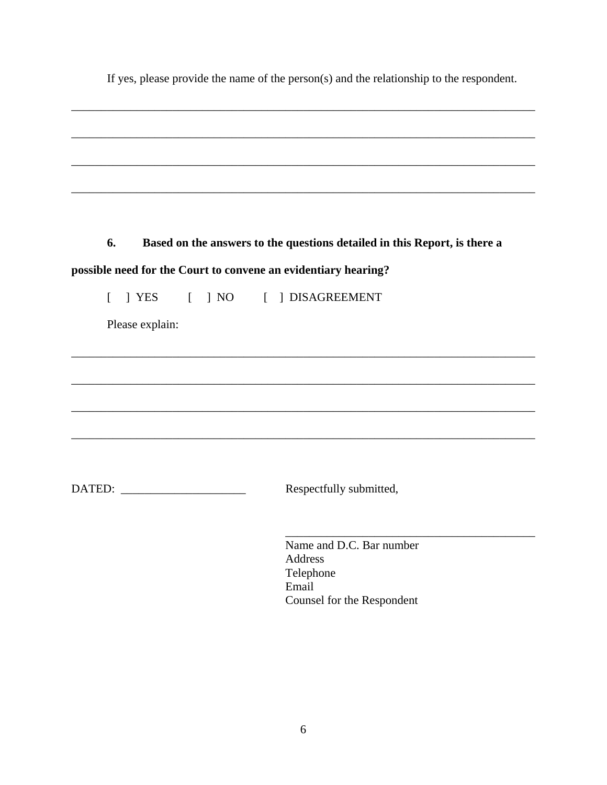|                 | If yes, please provide the name of the person $(s)$ and the relationship to the respondent. |
|-----------------|---------------------------------------------------------------------------------------------|
|                 |                                                                                             |
|                 |                                                                                             |
|                 |                                                                                             |
|                 |                                                                                             |
| 6.              | Based on the answers to the questions detailed in this Report, is there a                   |
|                 | possible need for the Court to convene an evidentiary hearing?                              |
|                 | [ ] YES [ ] NO [ ] DISAGREEMENT                                                             |
| Please explain: |                                                                                             |
|                 |                                                                                             |
|                 |                                                                                             |
|                 |                                                                                             |
|                 |                                                                                             |
|                 |                                                                                             |
|                 |                                                                                             |
|                 | Respectfully submitted,                                                                     |
|                 |                                                                                             |
|                 | Name and D.C. Bar number                                                                    |
|                 | <b>Address</b><br>Telephone                                                                 |
|                 | Email                                                                                       |
|                 | Counsel for the Respondent                                                                  |